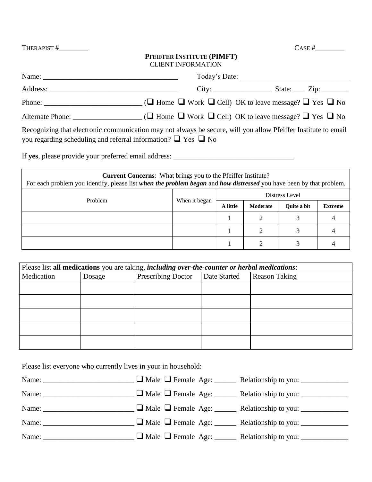THERAPIST  $#$  CASE  $#$ 

# **PFEIFFER INSTITUTE (PIMFT)** CLIENT INFORMATION

| Name: Name:                                                                                                                                                                               | Today's Date: |  |
|-------------------------------------------------------------------------------------------------------------------------------------------------------------------------------------------|---------------|--|
| Address:                                                                                                                                                                                  |               |  |
|                                                                                                                                                                                           |               |  |
| Alternate Phone: $\Box$ Thome $\Box$ Work $\Box$ Cell) OK to leave message? $\Box$ Yes $\Box$ No                                                                                          |               |  |
| Recognizing that electronic communication may not always be secure, will you allow Pfeiffer Institute to email<br>you regarding scheduling and referral information? $\Box$ Yes $\Box$ No |               |  |

If **yes**, please provide your preferred email address: \_\_\_\_\_\_\_\_\_\_\_\_\_\_\_\_\_\_\_\_\_\_\_\_\_\_\_\_\_\_\_\_\_

| <b>Current Concerns:</b> What brings you to the Pfeiffer Institute?<br>For each problem you identify, please list when the problem began and how distressed you have been by that problem. |               |          |          |                    |                |  |  |
|--------------------------------------------------------------------------------------------------------------------------------------------------------------------------------------------|---------------|----------|----------|--------------------|----------------|--|--|
| Problem                                                                                                                                                                                    |               |          |          | Distress Level     |                |  |  |
|                                                                                                                                                                                            | When it began | A little | Moderate | <b>Ouite a bit</b> | <b>Extreme</b> |  |  |
|                                                                                                                                                                                            |               |          |          |                    |                |  |  |
|                                                                                                                                                                                            |               |          |          |                    |                |  |  |
|                                                                                                                                                                                            |               |          |          |                    |                |  |  |

|            |        | Please list all medications you are taking, including over-the-counter or herbal medications: |              |                      |
|------------|--------|-----------------------------------------------------------------------------------------------|--------------|----------------------|
| Medication | Dosage | Prescribing Doctor                                                                            | Date Started | <b>Reason Taking</b> |
|            |        |                                                                                               |              |                      |
|            |        |                                                                                               |              |                      |
|            |        |                                                                                               |              |                      |
|            |        |                                                                                               |              |                      |
|            |        |                                                                                               |              |                      |

Please list everyone who currently lives in your in household:

|  | □ Male □ Female Age: _______ Relationship to you: _____________  |
|--|------------------------------------------------------------------|
|  | □ Male □ Female Age: _______ Relationship to you: _____________  |
|  | □ Male □ Female Age: _______ Relationship to you: ______________ |
|  | □ Male □ Female Age: _______ Relationship to you: _____________  |
|  | □ Male □ Female Age: _______ Relationship to you: _____________  |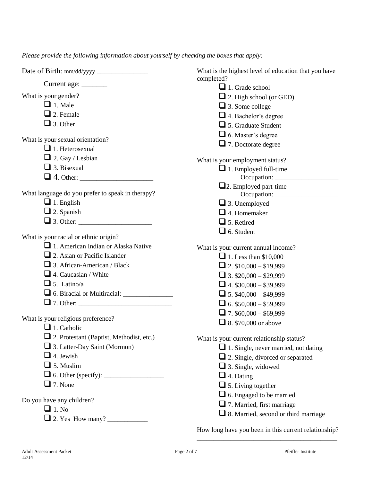*Please provide the following information about yourself by checking the boxes that apply:*

|                                                  | What is the highest level of education that you have |
|--------------------------------------------------|------------------------------------------------------|
|                                                  | completed?                                           |
|                                                  | $\Box$ 1. Grade school                               |
| What is your gender?                             | $\Box$ 2. High school (or GED)                       |
| $\Box$ 1. Male                                   | $\Box$ 3. Some college                               |
| $\Box$ 2. Female                                 | 4. Bachelor's degree                                 |
| $\Box$ 3. Other                                  | 5. Graduate Student                                  |
| What is your sexual orientation?                 | $\Box$ 6. Master's degree                            |
| $\Box$ 1. Heterosexual                           | $\Box$ 7. Doctorate degree                           |
| $\Box$ 2. Gay / Lesbian                          |                                                      |
| $\Box$ 3. Bisexual                               | What is your employment status?                      |
|                                                  | $\Box$ 1. Employed full-time                         |
|                                                  | $\Box$ 2. Employed part-time                         |
| What language do you prefer to speak in therapy? |                                                      |
| $\Box$ 1. English                                | $\Box$ 3. Unemployed                                 |
| $\Box$ 2. Spanish                                | $\Box$ 4. Homemaker                                  |
|                                                  | $\Box$ 5. Retired                                    |
|                                                  | $\Box$ 6. Student                                    |
| What is your racial or ethnic origin?            |                                                      |
| $\Box$ 1. American Indian or Alaska Native       | What is your current annual income?                  |
| $\Box$ 2. Asian or Pacific Islander              | $\Box$ 1. Less than \$10,000                         |
| $\Box$ 3. African-American / Black               | 2. $$10,000 - $19,999$                               |
| $\Box$ 4. Caucasian / White                      | $\Box$ 3. \$20,000 - \$29,999                        |
| $\Box$ 5. Latino/a                               | $\Box$ 4. \$30,000 - \$39,999                        |
|                                                  | $\Box$ 5. \$40,000 - \$49,999                        |
|                                                  | $\Box$ 6. \$50,000 - \$59,999                        |
|                                                  | $\Box$ 7. \$60,000 - \$69,999                        |
| What is your religious preference?               | $\Box$ 8. \$70,000 or above                          |
| $\Box$ 1. Catholic                               |                                                      |
| $\Box$ 2. Protestant (Baptist, Methodist, etc.)  | What is your current relationship status?            |
| 3. Latter-Day Saint (Mormon)                     | $\Box$ 1. Single, never married, not dating          |
| $\Box$ 4. Jewish                                 | $\Box$ 2. Single, divorced or separated              |
| $\Box$ 5. Muslim                                 | $\Box$ 3. Single, widowed                            |
|                                                  | $\Box$ 4. Dating                                     |
| $\Box$ 7. None                                   | $\Box$ 5. Living together                            |
| Do you have any children?                        | $\Box$ 6. Engaged to be married                      |
| $\Box$ 1. No                                     | $\Box$ 7. Married, first marriage                    |
|                                                  | □ 8. Married, second or third marriage               |
|                                                  | How long have you been in this current relationship? |

\_\_\_\_\_\_\_\_\_\_\_\_\_\_\_\_\_\_\_\_\_\_\_\_\_\_\_\_\_\_\_\_\_\_\_\_\_\_\_\_\_\_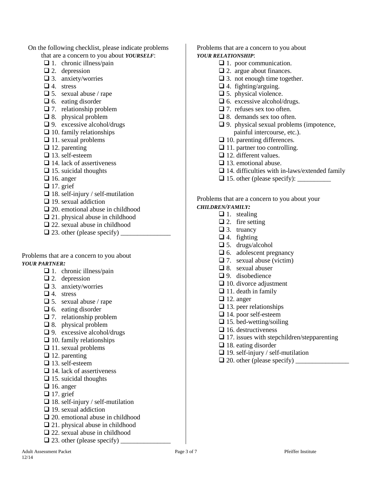- On the following checklist, please indicate problems that are a concern to you about *YOURSELF*:
	- $\Box$  1. chronic illness/pain
	- $\Box$  2. depression
	- $\Box$  3. anxiety/worries
	- $\Box$  4. stress
	- $\Box$  5. sexual abuse / rape
	- $\Box$  6. eating disorder
	- $\Box$  7. relationship problem
	- $\Box$  8. physical problem
	- $\Box$  9. excessive alcohol/drugs
	- $\Box$  10. family relationships
	- $\Box$  11. sexual problems
	- $\Box$  12. parenting
	- $\Box$  13. self-esteem
	- $\Box$  14. lack of assertiveness
	- $\Box$  15. suicidal thoughts
	- $\Box$  16. anger
	- $\Box$  17. grief
	- $\Box$  18. self-injury / self-mutilation
	- $\Box$  19. sexual addiction
	- $\Box$  20. emotional abuse in childhood
	- $\Box$  21. physical abuse in childhood
	- 22. sexual abuse in childhood
	- $\Box$  23. other (please specify)

Problems that are a concern to you about *YOUR PARTNER:*

- $\Box$  1. chronic illness/pain
- $\Box$  2. depression
- $\Box$  3. anxiety/worries
- $\Box$  4. stress
- $\Box$  5. sexual abuse / rape
- $\Box$  6. eating disorder
- $\Box$  7. relationship problem
- □ 8. physical problem
- $\Box$  9. excessive alcohol/drugs
- $\Box$  10. family relationships
- $\Box$  11. sexual problems
- $\Box$  12. parenting
- $\Box$  13. self-esteem
- $\Box$  14. lack of assertiveness
- $\Box$  15. suicidal thoughts
- $\Box$  16. anger
- $\Box$  17. grief
- $\Box$  18. self-injury / self-mutilation
- $\Box$  19. sexual addiction
- 20. emotional abuse in childhood
- □ 21. physical abuse in childhood
- 22. sexual abuse in childhood
- $\Box$  23. other (please specify)

Problems that are a concern to you about *YOUR RELATIONSHIP*:

- $\Box$  1. poor communication.
- $\Box$  2. argue about finances.
- $\Box$  3. not enough time together.
- $\Box$  4. fighting/arguing.
- □ 5. physical violence.
- $\Box$  6. excessive alcohol/drugs.
- $\Box$  7. refuses sex too often.
- □ 8. demands sex too often.
- $\Box$  9. physical sexual problems (impotence, painful intercourse, etc.).
- $\Box$  10. parenting differences.
- $\Box$  11. partner too controlling.
- $\Box$  12. different values.
- $\Box$  13. emotional abuse.
- $\Box$  14. difficulties with in-laws/extended family
- $\Box$  15. other (please specify):

### Problems that are a concern to you about your *CHILDREN/FAMILY:*

- $\Box$  1. stealing
- $\Box$  2. fire setting
- $\Box$  3. truancy
- $\Box$  4. fighting
- $\Box$  5. drugs/alcohol
- $\Box$  6. adolescent pregnancy
- $\Box$  7. sexual abuse (victim)
- $\Box$  8. sexual abuser
- $\Box$  9. disobedience
- $\Box$  10. divorce adjustment
- $\Box$  11. death in family
- $\Box$  12. anger
- $\Box$  13. peer relationships
- □ 14. poor self-esteem
- $\Box$  15. bed-wetting/soiling
- $\Box$  16. destructiveness
- $\Box$  17. issues with stepchildren/stepparenting
- $\Box$  18. eating disorder
- $\Box$  19. self-injury / self-mutilation
- $\Box$  20. other (please specify)  $\_\_$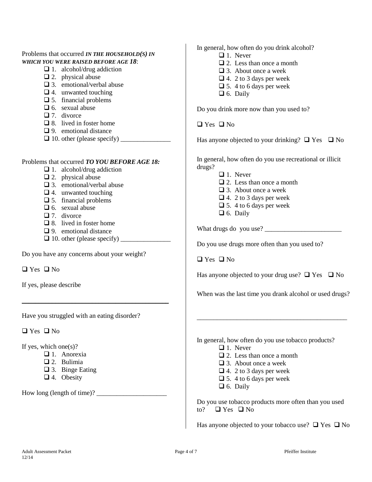# Problems that occurred *IN THE HOUSEHOLD(S) IN WHICH YOU WERE RAISED BEFORE AGE 18*:

- $\Box$  1. alcohol/drug addiction
- $\Box$  2. physical abuse
- $\Box$  3. emotional/verbal abuse
- $\Box$  4. unwanted touching
- $\Box$  5. financial problems
- $\Box$  6. sexual abuse
- $\Box$  7. divorce
- $\Box$  8. lived in foster home
- $\Box$  9. emotional distance
- $\Box$  10. other (please specify)  $\Box$

# Problems that occurred *TO YOU BEFORE AGE 18:*

- $\Box$  1. alcohol/drug addiction
- $\Box$  2. physical abuse
- □ 3. emotional/verbal abuse
- $\Box$  4. unwanted touching
- $\square$  5. financial problems
- $\Box$  6. sexual abuse
- $\Box$  7 divorce
- $\Box$  8. lived in foster home
- □ 9. emotional distance
- $\Box$  10. other (please specify)

 $\overline{\phantom{a}}$  , where  $\overline{\phantom{a}}$  , where  $\overline{\phantom{a}}$  ,  $\overline{\phantom{a}}$  ,  $\overline{\phantom{a}}$  ,  $\overline{\phantom{a}}$  ,  $\overline{\phantom{a}}$  ,  $\overline{\phantom{a}}$  ,  $\overline{\phantom{a}}$  ,  $\overline{\phantom{a}}$  ,  $\overline{\phantom{a}}$  ,  $\overline{\phantom{a}}$  ,  $\overline{\phantom{a}}$  ,  $\overline{\phantom{a}}$  ,  $\overline{\phantom{a}}$  ,

Do you have any concerns about your weight?

 $\Box$  Yes  $\Box$  No

If yes, please describe

Have you struggled with an eating disorder?

 $\Box$  Yes  $\Box$  No

If yes, which one $(s)$ ?

- □ 1. Anorexia
- 2. Bulimia
- 3. Binge Eating
- □ 4. Obesity

How long (length of time)?  $\qquad \qquad$ 

In general, how often do you drink alcohol?

- $\Box$  1. Never
- $\Box$  2. Less than once a month
- 3. About once a week
- $\Box$  4. 2 to 3 days per week
- $\Box$  5. 4 to 6 days per week
- $\Box$  6. Daily

Do you drink more now than you used to?

 $\Box$  Yes  $\Box$  No

Has anyone objected to your drinking?  $\Box$  Yes  $\Box$  No

In general, how often do you use recreational or illicit drugs?

- $\Box$  1. Never
- $\Box$  2. Less than once a month
- 3. About once a week
- $\Box$  4. 2 to 3 days per week
- $\Box$  5. 4 to 6 days per week
- $\Box$  6. Daily

What drugs do you use? \_\_\_\_\_\_\_\_\_\_\_\_\_\_\_\_\_\_\_\_\_\_\_

Do you use drugs more often than you used to?

 $\Box$  Yes  $\Box$  No

Has anyone objected to your drug use?  $\Box$  Yes  $\Box$  No

When was the last time you drank alcohol or used drugs?

\_\_\_\_\_\_\_\_\_\_\_\_\_\_\_\_\_\_\_\_\_\_\_\_\_\_\_\_\_\_\_\_\_\_\_\_\_\_\_\_\_\_\_\_\_

In general, how often do you use tobacco products?

- $\Box$  1. Never
- $\Box$  2. Less than once a month
- □ 3. About once a week
- $\Box$  4. 2 to 3 days per week
- $\Box$  5. 4 to 6 days per week
- $\Box$  6. Daily

Do you use tobacco products more often than you used to?  $\Box$  Yes  $\Box$  No

Has anyone objected to your tobacco use?  $\Box$  Yes  $\Box$  No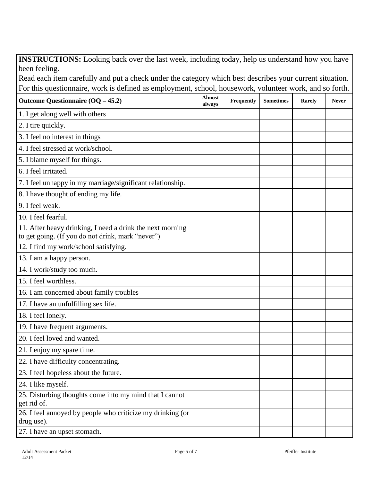**INSTRUCTIONS:** Looking back over the last week, including today, help us understand how you have been feeling.

Read each item carefully and put a check under the category which best describes your current situation. For this questionnaire, work is defined as employment, school, housework, volunteer work, and so forth.

| Outcome Questionnaire $(OQ - 45.2)$                                                                            | <b>Almost</b><br>always | Frequently | <b>Sometimes</b> | Rarely | <b>Never</b> |
|----------------------------------------------------------------------------------------------------------------|-------------------------|------------|------------------|--------|--------------|
| 1. I get along well with others                                                                                |                         |            |                  |        |              |
| 2. I tire quickly.                                                                                             |                         |            |                  |        |              |
| 3. I feel no interest in things                                                                                |                         |            |                  |        |              |
| 4. I feel stressed at work/school.                                                                             |                         |            |                  |        |              |
| 5. I blame myself for things.                                                                                  |                         |            |                  |        |              |
| 6. I feel irritated.                                                                                           |                         |            |                  |        |              |
| 7. I feel unhappy in my marriage/significant relationship.                                                     |                         |            |                  |        |              |
| 8. I have thought of ending my life.                                                                           |                         |            |                  |        |              |
| 9. I feel weak.                                                                                                |                         |            |                  |        |              |
| 10. I feel fearful.                                                                                            |                         |            |                  |        |              |
| 11. After heavy drinking, I need a drink the next morning<br>to get going. (If you do not drink, mark "never") |                         |            |                  |        |              |
| 12. I find my work/school satisfying.                                                                          |                         |            |                  |        |              |
| 13. I am a happy person.                                                                                       |                         |            |                  |        |              |
| 14. I work/study too much.                                                                                     |                         |            |                  |        |              |
| 15. I feel worthless.                                                                                          |                         |            |                  |        |              |
| 16. I am concerned about family troubles                                                                       |                         |            |                  |        |              |
| 17. I have an unfulfilling sex life.                                                                           |                         |            |                  |        |              |
| 18. I feel lonely.                                                                                             |                         |            |                  |        |              |
| 19. I have frequent arguments.                                                                                 |                         |            |                  |        |              |
| 20. I feel loved and wanted.                                                                                   |                         |            |                  |        |              |
| 21. I enjoy my spare time.                                                                                     |                         |            |                  |        |              |
| 22. I have difficulty concentrating.                                                                           |                         |            |                  |        |              |
| 23. I feel hopeless about the future.                                                                          |                         |            |                  |        |              |
| 24. I like myself.                                                                                             |                         |            |                  |        |              |
| 25. Disturbing thoughts come into my mind that I cannot<br>get rid of.                                         |                         |            |                  |        |              |
| 26. I feel annoyed by people who criticize my drinking (or<br>drug use).                                       |                         |            |                  |        |              |
| 27. I have an upset stomach.                                                                                   |                         |            |                  |        |              |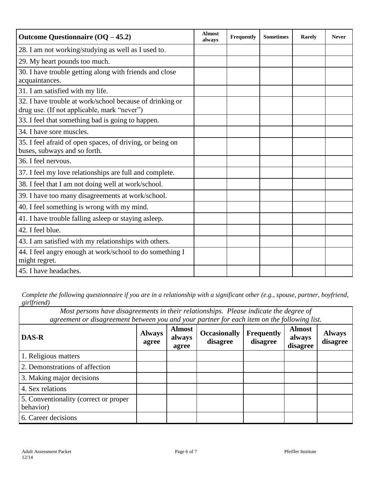| Outcome Questionnaire $(OQ - 45.2)$                                                                     | <b>Almost</b><br>always | Frequently | <b>Sometimes</b> | Rarely | <b>Never</b> |
|---------------------------------------------------------------------------------------------------------|-------------------------|------------|------------------|--------|--------------|
| 28. I am not working/studying as well as I used to.                                                     |                         |            |                  |        |              |
| 29. My heart pounds too much.                                                                           |                         |            |                  |        |              |
| 30. I have trouble getting along with friends and close<br>acquaintances.                               |                         |            |                  |        |              |
| 31. I am satisfied with my life.                                                                        |                         |            |                  |        |              |
| 32. I have trouble at work/school because of drinking or<br>drug use. (If not applicable, mark "never") |                         |            |                  |        |              |
| 33. I feel that something bad is going to happen.                                                       |                         |            |                  |        |              |
| 34. I have sore muscles.                                                                                |                         |            |                  |        |              |
| 35. I feel afraid of open spaces, of driving, or being on<br>buses, subways and so forth.               |                         |            |                  |        |              |
| 36. I feel nervous.                                                                                     |                         |            |                  |        |              |
| 37. I feel my love relationships are full and complete.                                                 |                         |            |                  |        |              |
| 38. I feel that I am not doing well at work/school.                                                     |                         |            |                  |        |              |
| 39. I have too many disagreements at work/school.                                                       |                         |            |                  |        |              |
| 40. I feel something is wrong with my mind.                                                             |                         |            |                  |        |              |
| 41. I have trouble falling asleep or staying asleep.                                                    |                         |            |                  |        |              |
| 42. I feel blue.                                                                                        |                         |            |                  |        |              |
| 43. I am satisfied with my relationships with others.                                                   |                         |            |                  |        |              |
| 44. I feel angry enough at work/school to do something I<br>might regret.                               |                         |            |                  |        |              |
| 45. I have headaches.                                                                                   |                         |            |                  |        |              |

*Complete the following questionnaire if you are in a relationship with a significant other (e.g., spouse, partner, boyfriend, girlfriend)*

*Most persons have disagreements in their relationships. Please indicate the degree of agreement or disagreement between you and your partner for each item on the following list.*

| DAS-R                                              | <b>Always</b><br>agree | <b>Almost</b><br>always<br>agree | <b>Occasionally</b><br>disagree | Frequently<br>disagree | <b>Almost</b><br>always<br>disagree | <b>Always</b><br>disagree |
|----------------------------------------------------|------------------------|----------------------------------|---------------------------------|------------------------|-------------------------------------|---------------------------|
| 1. Religious matters                               |                        |                                  |                                 |                        |                                     |                           |
| 2. Demonstrations of affection                     |                        |                                  |                                 |                        |                                     |                           |
| 3. Making major decisions                          |                        |                                  |                                 |                        |                                     |                           |
| 4. Sex relations                                   |                        |                                  |                                 |                        |                                     |                           |
| 5. Conventionality (correct or proper<br>behavior) |                        |                                  |                                 |                        |                                     |                           |
| 6. Career decisions                                |                        |                                  |                                 |                        |                                     |                           |